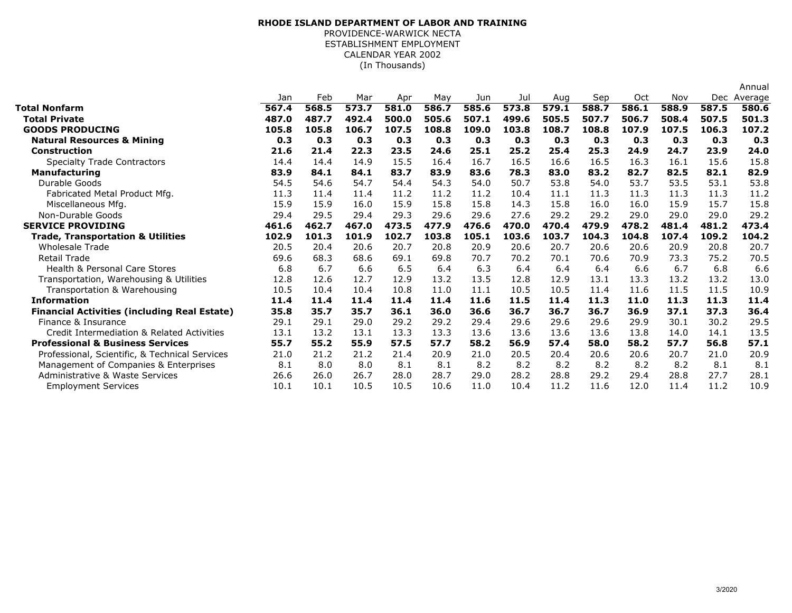## (In Thousands)**RHODE ISLAND DEPARTMENT OF LABOR AND TRAINING**PROVIDENCE-WARWICK NECTA ESTABLISHMENT EMPLOYMENTCALENDAR YEAR 2002

|                                                     |       |       |       |       |       |       |       |       |       |       |       |       | Annual  |
|-----------------------------------------------------|-------|-------|-------|-------|-------|-------|-------|-------|-------|-------|-------|-------|---------|
|                                                     | Jan   | Feb   | Mar   | Apr   | May   | Jun   | Jul   | Aug   | Sep   | Oct   | Nov   | Dec   | Average |
| <b>Total Nonfarm</b>                                | 567.4 | 568.5 | 573.7 | 581.0 | 586.7 | 585.6 | 573.8 | 579.1 | 588.7 | 586.1 | 588.9 | 587.5 | 580.6   |
| Total Private                                       | 487.0 | 487.7 | 492.4 | 500.0 | 505.6 | 507.1 | 499.6 | 505.5 | 507.7 | 506.7 | 508.4 | 507.5 | 501.3   |
| <b>GOODS PRODUCING</b>                              | 105.8 | 105.8 | 106.7 | 107.5 | 108.8 | 109.0 | 103.8 | 108.7 | 108.8 | 107.9 | 107.5 | 106.3 | 107.2   |
| <b>Natural Resources &amp; Mining</b>               | 0.3   | 0.3   | 0.3   | 0.3   | 0.3   | 0.3   | 0.3   | 0.3   | 0.3   | 0.3   | 0.3   | 0.3   | 0.3     |
| <b>Construction</b>                                 | 21.6  | 21.4  | 22.3  | 23.5  | 24.6  | 25.1  | 25.2  | 25.4  | 25.3  | 24.9  | 24.7  | 23.9  | 24.0    |
| <b>Specialty Trade Contractors</b>                  | 14.4  | 14.4  | 14.9  | 15.5  | 16.4  | 16.7  | 16.5  | 16.6  | 16.5  | 16.3  | 16.1  | 15.6  | 15.8    |
| <b>Manufacturing</b>                                | 83.9  | 84.1  | 84.1  | 83.7  | 83.9  | 83.6  | 78.3  | 83.0  | 83.2  | 82.7  | 82.5  | 82.1  | 82.9    |
| Durable Goods                                       | 54.5  | 54.6  | 54.7  | 54.4  | 54.3  | 54.0  | 50.7  | 53.8  | 54.0  | 53.7  | 53.5  | 53.1  | 53.8    |
| Fabricated Metal Product Mfg.                       | 11.3  | 11.4  | 11.4  | 11.2  | 11.2  | 11.2  | 10.4  | 11.1  | 11.3  | 11.3  | 11.3  | 11.3  | 11.2    |
| Miscellaneous Mfg.                                  | 15.9  | 15.9  | 16.0  | 15.9  | 15.8  | 15.8  | 14.3  | 15.8  | 16.0  | 16.0  | 15.9  | 15.7  | 15.8    |
| Non-Durable Goods                                   | 29.4  | 29.5  | 29.4  | 29.3  | 29.6  | 29.6  | 27.6  | 29.2  | 29.2  | 29.0  | 29.0  | 29.0  | 29.2    |
| <b>SERVICE PROVIDING</b>                            | 461.6 | 462.7 | 467.0 | 473.5 | 477.9 | 476.6 | 470.0 | 470.4 | 479.9 | 478.2 | 481.4 | 481.2 | 473.4   |
| <b>Trade, Transportation &amp; Utilities</b>        | 102.9 | 101.3 | 101.9 | 102.7 | 103.8 | 105.1 | 103.6 | 103.7 | 104.3 | 104.8 | 107.4 | 109.2 | 104.2   |
| <b>Wholesale Trade</b>                              | 20.5  | 20.4  | 20.6  | 20.7  | 20.8  | 20.9  | 20.6  | 20.7  | 20.6  | 20.6  | 20.9  | 20.8  | 20.7    |
| <b>Retail Trade</b>                                 | 69.6  | 68.3  | 68.6  | 69.1  | 69.8  | 70.7  | 70.2  | 70.1  | 70.6  | 70.9  | 73.3  | 75.2  | 70.5    |
| <b>Health &amp; Personal Care Stores</b>            | 6.8   | 6.7   | 6.6   | 6.5   | 6.4   | 6.3   | 6.4   | 6.4   | 6.4   | 6.6   | 6.7   | 6.8   | 6.6     |
| Transportation, Warehousing & Utilities             | 12.8  | 12.6  | 12.7  | 12.9  | 13.2  | 13.5  | 12.8  | 12.9  | 13.1  | 13.3  | 13.2  | 13.2  | 13.0    |
| Transportation & Warehousing                        | 10.5  | 10.4  | 10.4  | 10.8  | 11.0  | 11.1  | 10.5  | 10.5  | 11.4  | 11.6  | 11.5  | 11.5  | 10.9    |
| <b>Information</b>                                  | 11.4  | 11.4  | 11.4  | 11.4  | 11.4  | 11.6  | 11.5  | 11.4  | 11.3  | 11.0  | 11.3  | 11.3  | 11.4    |
| <b>Financial Activities (including Real Estate)</b> | 35.8  | 35.7  | 35.7  | 36.1  | 36.0  | 36.6  | 36.7  | 36.7  | 36.7  | 36.9  | 37.1  | 37.3  | 36.4    |
| Finance & Insurance                                 | 29.1  | 29.1  | 29.0  | 29.2  | 29.2  | 29.4  | 29.6  | 29.6  | 29.6  | 29.9  | 30.1  | 30.2  | 29.5    |
| Credit Intermediation & Related Activities          | 13.1  | 13.2  | 13.1  | 13.3  | 13.3  | 13.6  | 13.6  | 13.6  | 13.6  | 13.8  | 14.0  | 14.1  | 13.5    |
| <b>Professional &amp; Business Services</b>         | 55.7  | 55.2  | 55.9  | 57.5  | 57.7  | 58.2  | 56.9  | 57.4  | 58.0  | 58.2  | 57.7  | 56.8  | 57.1    |
| Professional, Scientific, & Technical Services      | 21.0  | 21.2  | 21.2  | 21.4  | 20.9  | 21.0  | 20.5  | 20.4  | 20.6  | 20.6  | 20.7  | 21.0  | 20.9    |
| Management of Companies & Enterprises               | 8.1   | 8.0   | 8.0   | 8.1   | 8.1   | 8.2   | 8.2   | 8.2   | 8.2   | 8.2   | 8.2   | 8.1   | 8.1     |
| <b>Administrative &amp; Waste Services</b>          | 26.6  | 26.0  | 26.7  | 28.0  | 28.7  | 29.0  | 28.2  | 28.8  | 29.2  | 29.4  | 28.8  | 27.7  | 28.1    |
| <b>Employment Services</b>                          | 10.1  | 10.1  | 10.5  | 10.5  | 10.6  | 11.0  | 10.4  | 11.2  | 11.6  | 12.0  | 11.4  | 11.2  | 10.9    |
|                                                     |       |       |       |       |       |       |       |       |       |       |       |       |         |